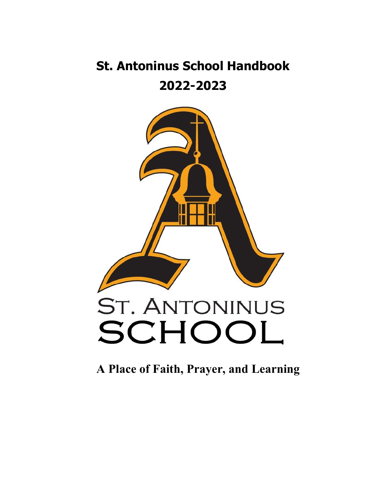# **St. Antoninus School Handbook 2022-2023**



**A Place of Faith, Prayer, and Learning**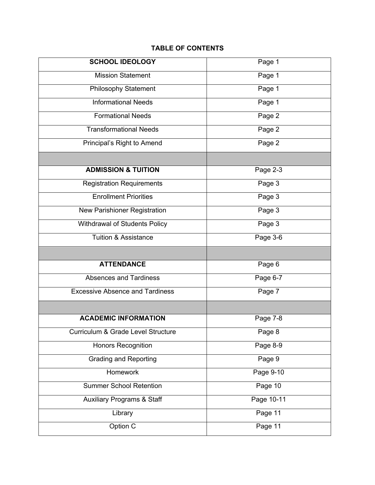# **TABLE OF CONTENTS**

| <b>SCHOOL IDEOLOGY</b>                 | Page 1     |
|----------------------------------------|------------|
|                                        |            |
| <b>Mission Statement</b>               | Page 1     |
| <b>Philosophy Statement</b>            | Page 1     |
| <b>Informational Needs</b>             | Page 1     |
| <b>Formational Needs</b>               | Page 2     |
| <b>Transformational Needs</b>          | Page 2     |
| Principal's Right to Amend             | Page 2     |
|                                        |            |
| <b>ADMISSION &amp; TUITION</b>         | Page 2-3   |
| <b>Registration Requirements</b>       | Page 3     |
| <b>Enrollment Priorities</b>           | Page 3     |
| New Parishioner Registration           | Page 3     |
| Withdrawal of Students Policy          | Page 3     |
| <b>Tuition &amp; Assistance</b>        | Page 3-6   |
|                                        |            |
|                                        |            |
| <b>ATTENDANCE</b>                      | Page 6     |
| <b>Absences and Tardiness</b>          | Page 6-7   |
| <b>Excessive Absence and Tardiness</b> | Page 7     |
|                                        |            |
| <b>ACADEMIC INFORMATION</b>            | Page 7-8   |
| Curriculum & Grade Level Structure     | Page 8     |
| <b>Honors Recognition</b>              | Page $8-9$ |
| <b>Grading and Reporting</b>           | Page 9     |
| Homework                               | Page 9-10  |
| <b>Summer School Retention</b>         | Page 10    |
| <b>Auxiliary Programs &amp; Staff</b>  | Page 10-11 |
| Library                                | Page 11    |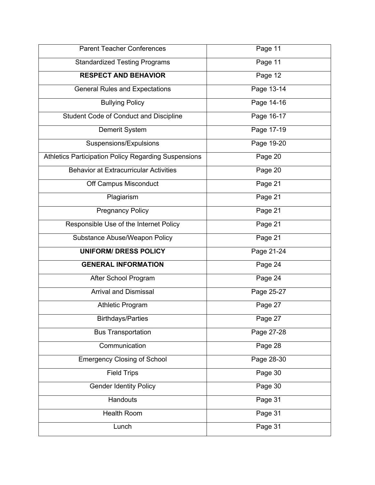| <b>Parent Teacher Conferences</b>                    | Page 11    |
|------------------------------------------------------|------------|
| <b>Standardized Testing Programs</b>                 | Page 11    |
| <b>RESPECT AND BEHAVIOR</b>                          | Page 12    |
| <b>General Rules and Expectations</b>                | Page 13-14 |
| <b>Bullying Policy</b>                               | Page 14-16 |
| Student Code of Conduct and Discipline               | Page 16-17 |
| Demerit System                                       | Page 17-19 |
| Suspensions/Expulsions                               | Page 19-20 |
| Athletics Participation Policy Regarding Suspensions | Page 20    |
| <b>Behavior at Extracurricular Activities</b>        | Page 20    |
| Off Campus Misconduct                                | Page 21    |
| Plagiarism                                           | Page 21    |
| <b>Pregnancy Policy</b>                              | Page 21    |
| Responsible Use of the Internet Policy               | Page 21    |
| Substance Abuse/Weapon Policy                        | Page 21    |
| <b>UNIFORM/ DRESS POLICY</b>                         | Page 21-24 |
| <b>GENERAL INFORMATION</b>                           | Page 24    |
| After School Program                                 | Page 24    |
| <b>Arrival and Dismissal</b>                         | Page 25-27 |
| <b>Athletic Program</b>                              | Page 27    |
| <b>Birthdays/Parties</b>                             | Page 27    |
| <b>Bus Transportation</b>                            | Page 27-28 |
| Communication                                        | Page 28    |
| <b>Emergency Closing of School</b>                   | Page 28-30 |
| <b>Field Trips</b>                                   | Page 30    |
| <b>Gender Identity Policy</b>                        | Page 30    |
| Handouts                                             | Page 31    |
| <b>Health Room</b>                                   | Page 31    |
| Lunch                                                | Page 31    |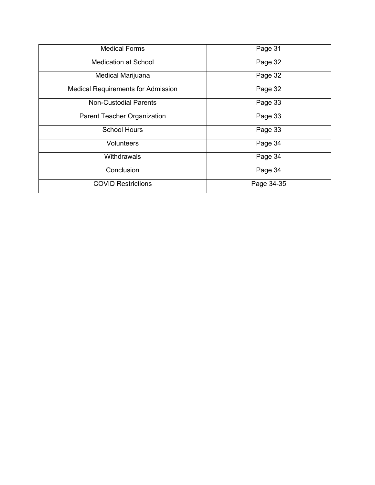| <b>Medical Forms</b>                      | Page 31    |
|-------------------------------------------|------------|
| <b>Medication at School</b>               | Page 32    |
| Medical Marijuana                         | Page 32    |
| <b>Medical Requirements for Admission</b> | Page 32    |
| <b>Non-Custodial Parents</b>              | Page 33    |
| Parent Teacher Organization               | Page 33    |
| <b>School Hours</b>                       | Page 33    |
| Volunteers                                | Page 34    |
| Withdrawals                               | Page 34    |
| Conclusion                                | Page 34    |
| <b>COVID Restrictions</b>                 | Page 34-35 |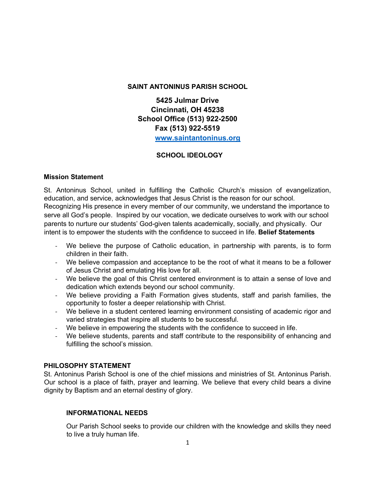# **SAINT ANTONINUS PARISH SCHOOL**

**5425 Julmar Drive Cincinnati, OH 45238 School Office (513) 922-2500 Fax (513) 922-5519 www.saintantoninus.org**

# **SCHOOL IDEOLOGY**

### **Mission Statement**

St. Antoninus School, united in fulfilling the Catholic Church's mission of evangelization, education, and service, acknowledges that Jesus Christ is the reason for our school. Recognizing His presence in every member of our community, we understand the importance to serve all God's people. Inspired by our vocation, we dedicate ourselves to work with our school parents to nurture our students' God-given talents academically, socially, and physically. Our intent is to empower the students with the confidence to succeed in life. **Belief Statements** 

- We believe the purpose of Catholic education, in partnership with parents, is to form children in their faith.
- We believe compassion and acceptance to be the root of what it means to be a follower of Jesus Christ and emulating His love for all.
- We believe the goal of this Christ centered environment is to attain a sense of love and dedication which extends beyond our school community.
- We believe providing a Faith Formation gives students, staff and parish families, the opportunity to foster a deeper relationship with Christ.
- We believe in a student centered learning environment consisting of academic rigor and varied strategies that inspire all students to be successful.
- We believe in empowering the students with the confidence to succeed in life.
- We believe students, parents and staff contribute to the responsibility of enhancing and fulfilling the school's mission.

# **PHILOSOPHY STATEMENT**

St. Antoninus Parish School is one of the chief missions and ministries of St. Antoninus Parish. Our school is a place of faith, prayer and learning. We believe that every child bears a divine dignity by Baptism and an eternal destiny of glory.

# **INFORMATIONAL NEEDS**

Our Parish School seeks to provide our children with the knowledge and skills they need to live a truly human life.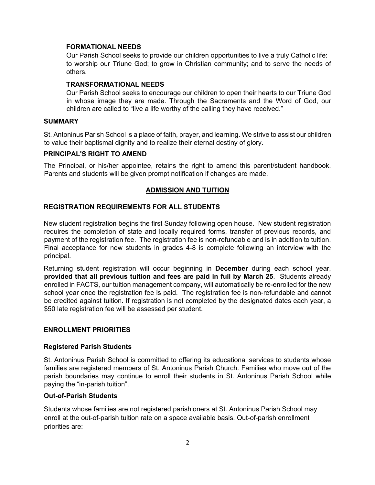#### **FORMATIONAL NEEDS**

Our Parish School seeks to provide our children opportunities to live a truly Catholic life: to worship our Triune God; to grow in Christian community; and to serve the needs of others.

### **TRANSFORMATIONAL NEEDS**

Our Parish School seeks to encourage our children to open their hearts to our Triune God in whose image they are made. Through the Sacraments and the Word of God, our children are called to "live a life worthy of the calling they have received."

# **SUMMARY**

St. Antoninus Parish School is a place of faith, prayer, and learning. We strive to assist our children to value their baptismal dignity and to realize their eternal destiny of glory.

### **PRINCIPAL'S RIGHT TO AMEND**

The Principal, or his/her appointee, retains the right to amend this parent/student handbook. Parents and students will be given prompt notification if changes are made.

# **ADMISSION AND TUITION**

### **REGISTRATION REQUIREMENTS FOR ALL STUDENTS**

New student registration begins the first Sunday following open house. New student registration requires the completion of state and locally required forms, transfer of previous records, and payment of the registration fee. The registration fee is non-refundable and is in addition to tuition. Final acceptance for new students in grades 4-8 is complete following an interview with the principal.

Returning student registration will occur beginning in **December** during each school year, **provided that all previous tuition and fees are paid in full by March 25**. Students already enrolled in FACTS, our tuition management company, will automatically be re-enrolled for the new school year once the registration fee is paid. The registration fee is non-refundable and cannot be credited against tuition. If registration is not completed by the designated dates each year, a \$50 late registration fee will be assessed per student.

#### **ENROLLMENT PRIORITIES**

#### **Registered Parish Students**

St. Antoninus Parish School is committed to offering its educational services to students whose families are registered members of St. Antoninus Parish Church. Families who move out of the parish boundaries may continue to enroll their students in St. Antoninus Parish School while paying the "in-parish tuition".

#### **Out-of-Parish Students**

Students whose families are not registered parishioners at St. Antoninus Parish School may enroll at the out-of-parish tuition rate on a space available basis. Out-of-parish enrollment priorities are: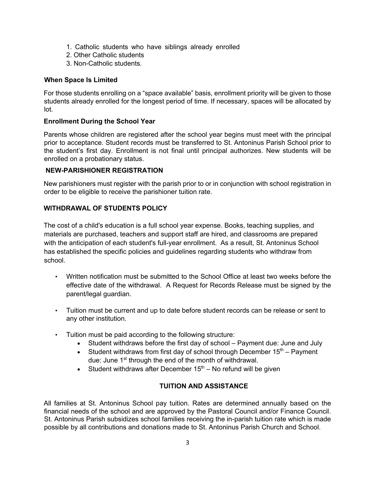- 1. Catholic students who have siblings already enrolled
- 2. Other Catholic students
- 3. Non-Catholic students.

# **When Space Is Limited**

For those students enrolling on a "space available" basis, enrollment priority will be given to those students already enrolled for the longest period of time. If necessary, spaces will be allocated by lot.

# **Enrollment During the School Year**

Parents whose children are registered after the school year begins must meet with the principal prior to acceptance. Student records must be transferred to St. Antoninus Parish School prior to the student's first day. Enrollment is not final until principal authorizes. New students will be enrolled on a probationary status.

# **NEW-PARISHIONER REGISTRATION**

New parishioners must register with the parish prior to or in conjunction with school registration in order to be eligible to receive the parishioner tuition rate.

# **WITHDRAWAL OF STUDENTS POLICY**

The cost of a child's education is a full school year expense. Books, teaching supplies, and materials are purchased, teachers and support staff are hired, and classrooms are prepared with the anticipation of each student's full-year enrollment. As a result, St. Antoninus School has established the specific policies and guidelines regarding students who withdraw from school.

- Written notification must be submitted to the School Office at least two weeks before the effective date of the withdrawal. A Request for Records Release must be signed by the parent/legal guardian.
- Tuition must be current and up to date before student records can be release or sent to any other institution.
- Tuition must be paid according to the following structure:
	- Student withdraws before the first day of school Payment due: June and July
	- Student withdraws from first day of school through December  $15<sup>th</sup>$  Payment due: June 1<sup>st</sup> through the end of the month of withdrawal.
	- Student withdraws after December  $15<sup>th</sup>$  No refund will be given

# **TUITION AND ASSISTANCE**

All families at St. Antoninus School pay tuition. Rates are determined annually based on the financial needs of the school and are approved by the Pastoral Council and/or Finance Council. St. Antoninus Parish subsidizes school families receiving the in-parish tuition rate which is made possible by all contributions and donations made to St. Antoninus Parish Church and School.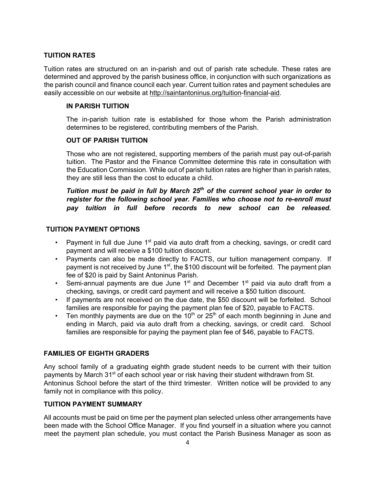# **TUITION RATES**

Tuition rates are structured on an in-parish and out of parish rate schedule. These rates are determined and approved by the parish business office, in conjunction with such organizations as the parish council and finance council each year. Current tuition rates and payment schedules are easily accessible on our website at http://saintantoninus.org/tuition-financial-aid.

# **IN PARISH TUITION**

The in-parish tuition rate is established for those whom the Parish administration determines to be registered, contributing members of the Parish.

### **OUT OF PARISH TUITION**

Those who are not registered, supporting members of the parish must pay out-of-parish tuition. The Pastor and the Finance Committee determine this rate in consultation with the Education Commission. While out of parish tuition rates are higher than in parish rates, they are still less than the cost to educate a child.

# *Tuition must be paid in full by March 25th of the current school year in order to register for the following school year. Families who choose not to re-enroll must pay tuition in full before records to new school can be released.*

### **TUITION PAYMENT OPTIONS**

- Payment in full due June  $1<sup>st</sup>$  paid via auto draft from a checking, savings, or credit card payment and will receive a \$100 tuition discount.
- Payments can also be made directly to FACTS, our tuition management company. If payment is not received by June  $1<sup>st</sup>$ , the \$100 discount will be forfeited. The payment plan fee of \$20 is paid by Saint Antoninus Parish.
- Semi-annual payments are due June  $1<sup>st</sup>$  and December  $1<sup>st</sup>$  paid via auto draft from a checking, savings, or credit card payment and will receive a \$50 tuition discount.
- If payments are not received on the due date, the \$50 discount will be forfeited. School families are responsible for paying the payment plan fee of \$20, payable to FACTS.
- Ten monthly payments are due on the  $10<sup>th</sup>$  or 25<sup>th</sup> of each month beginning in June and ending in March, paid via auto draft from a checking, savings, or credit card. School families are responsible for paying the payment plan fee of \$46, payable to FACTS.

# **FAMILIES OF EIGHTH GRADERS**

Any school family of a graduating eighth grade student needs to be current with their tuition payments by March 31<sup>st</sup> of each school year or risk having their student withdrawn from St. Antoninus School before the start of the third trimester. Written notice will be provided to any family not in compliance with this policy.

# **TUITION PAYMENT SUMMARY**

All accounts must be paid on time per the payment plan selected unless other arrangements have been made with the School Office Manager. If you find yourself in a situation where you cannot meet the payment plan schedule, you must contact the Parish Business Manager as soon as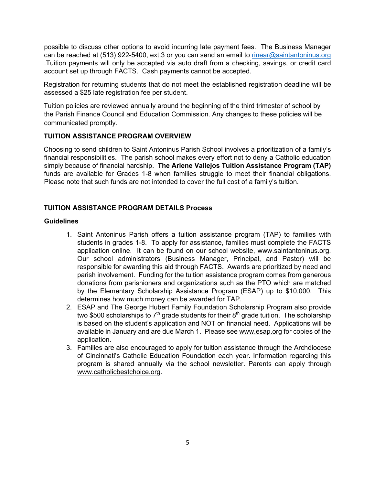possible to discuss other options to avoid incurring late payment fees. The Business Manager can be reached at (513) 922-5400, ext.3 or you can send an email to rinear@saintantoninus.org .Tuition payments will only be accepted via auto draft from a checking, savings, or credit card account set up through FACTS. Cash payments cannot be accepted.

Registration for returning students that do not meet the established registration deadline will be assessed a \$25 late registration fee per student.

Tuition policies are reviewed annually around the beginning of the third trimester of school by the Parish Finance Council and Education Commission. Any changes to these policies will be communicated promptly.

# **TUITION ASSISTANCE PROGRAM OVERVIEW**

Choosing to send children to Saint Antoninus Parish School involves a prioritization of a family's financial responsibilities. The parish school makes every effort not to deny a Catholic education simply because of financial hardship. **The Arlene Vallejos Tuition Assistance Program (TAP)** funds are available for Grades 1-8 when families struggle to meet their financial obligations. Please note that such funds are not intended to cover the full cost of a family's tuition.

# **TUITION ASSISTANCE PROGRAM DETAILS Process**

# **Guidelines**

- 1. Saint Antoninus Parish offers a tuition assistance program (TAP) to families with students in grades 1-8. To apply for assistance, families must complete the FACTS application online. It can be found on our school website, www.saintantoninus.org. Our school administrators (Business Manager, Principal, and Pastor) will be responsible for awarding this aid through FACTS. Awards are prioritized by need and parish involvement. Funding for the tuition assistance program comes from generous donations from parishioners and organizations such as the PTO which are matched by the Elementary Scholarship Assistance Program (ESAP) up to \$10,000. This determines how much money can be awarded for TAP.
- 2. ESAP and The George Hubert Family Foundation Scholarship Program also provide two \$500 scholarships to  $7<sup>th</sup>$  grade students for their  $8<sup>th</sup>$  grade tuition. The scholarship is based on the student's application and NOT on financial need. Applications will be available in January and are due March 1. Please see www.esap.org for copies of the application.
- 3. Families are also encouraged to apply for tuition assistance through the Archdiocese of Cincinnati's Catholic Education Foundation each year. Information regarding this program is shared annually via the school newsletter. Parents can apply through www.catholicbestchoice.org.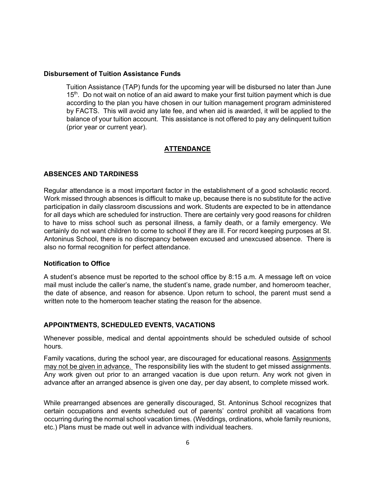#### **Disbursement of Tuition Assistance Funds**

Tuition Assistance (TAP) funds for the upcoming year will be disbursed no later than June 15<sup>th</sup>. Do not wait on notice of an aid award to make your first tuition payment which is due according to the plan you have chosen in our tuition management program administered by FACTS. This will avoid any late fee, and when aid is awarded, it will be applied to the balance of your tuition account. This assistance is not offered to pay any delinquent tuition (prior year or current year).

### **ATTENDANCE**

### **ABSENCES AND TARDINESS**

Regular attendance is a most important factor in the establishment of a good scholastic record. Work missed through absences is difficult to make up, because there is no substitute for the active participation in daily classroom discussions and work. Students are expected to be in attendance for all days which are scheduled for instruction. There are certainly very good reasons for children to have to miss school such as personal illness, a family death, or a family emergency. We certainly do not want children to come to school if they are ill. For record keeping purposes at St. Antoninus School, there is no discrepancy between excused and unexcused absence. There is also no formal recognition for perfect attendance.

#### **Notification to Office**

A student's absence must be reported to the school office by 8:15 a.m. A message left on voice mail must include the caller's name, the student's name, grade number, and homeroom teacher, the date of absence, and reason for absence. Upon return to school, the parent must send a written note to the homeroom teacher stating the reason for the absence.

# **APPOINTMENTS, SCHEDULED EVENTS, VACATIONS**

Whenever possible, medical and dental appointments should be scheduled outside of school hours.

Family vacations, during the school year, are discouraged for educational reasons. Assignments may not be given in advance. The responsibility lies with the student to get missed assignments. Any work given out prior to an arranged vacation is due upon return. Any work not given in advance after an arranged absence is given one day, per day absent, to complete missed work.

While prearranged absences are generally discouraged, St. Antoninus School recognizes that certain occupations and events scheduled out of parents' control prohibit all vacations from occurring during the normal school vacation times. (Weddings, ordinations, whole family reunions, etc.) Plans must be made out well in advance with individual teachers.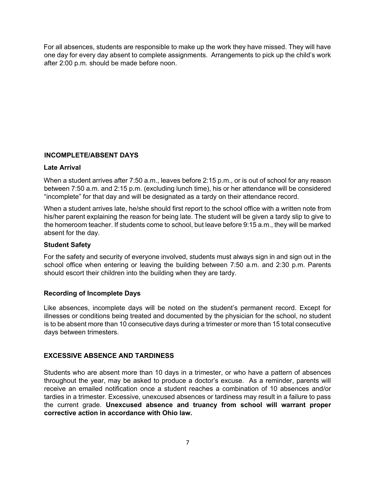For all absences, students are responsible to make up the work they have missed. They will have one day for every day absent to complete assignments. Arrangements to pick up the child's work after 2:00 p.m. should be made before noon.

# **INCOMPLETE/ABSENT DAYS**

#### **Late Arrival**

When a student arrives after 7:50 a.m., leaves before 2:15 p.m., or is out of school for any reason between 7:50 a.m. and 2:15 p.m. (excluding lunch time), his or her attendance will be considered "incomplete" for that day and will be designated as a tardy on their attendance record.

When a student arrives late, he/she should first report to the school office with a written note from his/her parent explaining the reason for being late. The student will be given a tardy slip to give to the homeroom teacher. If students come to school, but leave before 9:15 a.m., they will be marked absent for the day.

#### **Student Safety**

For the safety and security of everyone involved, students must always sign in and sign out in the school office when entering or leaving the building between 7:50 a.m. and 2:30 p.m. Parents should escort their children into the building when they are tardy.

#### **Recording of Incomplete Days**

Like absences, incomplete days will be noted on the student's permanent record. Except for illnesses or conditions being treated and documented by the physician for the school, no student is to be absent more than 10 consecutive days during a trimester or more than 15 total consecutive days between trimesters.

#### **EXCESSIVE ABSENCE AND TARDINESS**

Students who are absent more than 10 days in a trimester, or who have a pattern of absences throughout the year, may be asked to produce a doctor's excuse. As a reminder, parents will receive an emailed notification once a student reaches a combination of 10 absences and/or tardies in a trimester. Excessive, unexcused absences or tardiness may result in a failure to pass the current grade. **Unexcused absence and truancy from school will warrant proper corrective action in accordance with Ohio law.**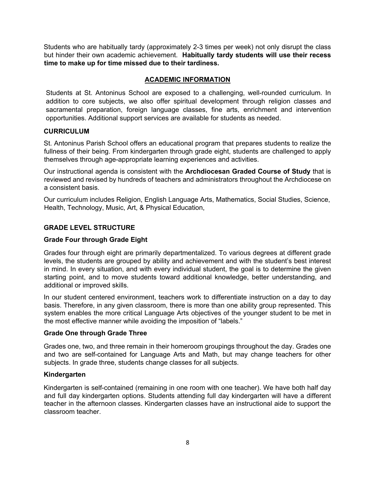Students who are habitually tardy (approximately 2-3 times per week) not only disrupt the class but hinder their own academic achievement. **Habitually tardy students will use their recess time to make up for time missed due to their tardiness.** 

### **ACADEMIC INFORMATION**

Students at St. Antoninus School are exposed to a challenging, well-rounded curriculum. In addition to core subjects, we also offer spiritual development through religion classes and sacramental preparation, foreign language classes, fine arts, enrichment and intervention opportunities. Additional support services are available for students as needed.

### **CURRICULUM**

St. Antoninus Parish School offers an educational program that prepares students to realize the fullness of their being. From kindergarten through grade eight, students are challenged to apply themselves through age-appropriate learning experiences and activities.

Our instructional agenda is consistent with the **Archdiocesan Graded Course of Study** that is reviewed and revised by hundreds of teachers and administrators throughout the Archdiocese on a consistent basis.

Our curriculum includes Religion, English Language Arts, Mathematics, Social Studies, Science, Health, Technology, Music, Art, & Physical Education,

### **GRADE LEVEL STRUCTURE**

#### **Grade Four through Grade Eight**

Grades four through eight are primarily departmentalized. To various degrees at different grade levels, the students are grouped by ability and achievement and with the student's best interest in mind. In every situation, and with every individual student, the goal is to determine the given starting point, and to move students toward additional knowledge, better understanding, and additional or improved skills.

In our student centered environment, teachers work to differentiate instruction on a day to day basis. Therefore, in any given classroom, there is more than one ability group represented. This system enables the more critical Language Arts objectives of the younger student to be met in the most effective manner while avoiding the imposition of "labels."

#### **Grade One through Grade Three**

Grades one, two, and three remain in their homeroom groupings throughout the day. Grades one and two are self-contained for Language Arts and Math, but may change teachers for other subjects. In grade three, students change classes for all subjects.

#### **Kindergarten**

Kindergarten is self-contained (remaining in one room with one teacher). We have both half day and full day kindergarten options. Students attending full day kindergarten will have a different teacher in the afternoon classes. Kindergarten classes have an instructional aide to support the classroom teacher.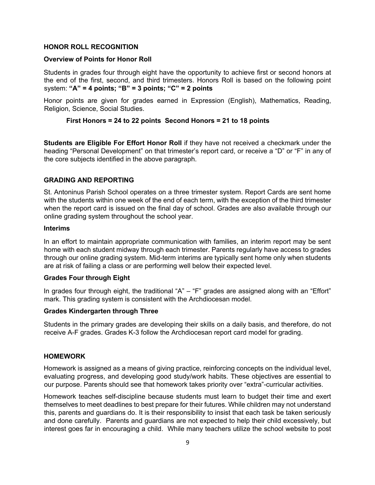#### **HONOR ROLL RECOGNITION**

#### **Overview of Points for Honor Roll**

Students in grades four through eight have the opportunity to achieve first or second honors at the end of the first, second, and third trimesters. Honors Roll is based on the following point system: **"A" = 4 points; "B" = 3 points; "C" = 2 points** 

Honor points are given for grades earned in Expression (English), Mathematics, Reading, Religion, Science, Social Studies.

#### **First Honors = 24 to 22 points Second Honors = 21 to 18 points**

**Students are Eligible For Effort Honor Roll** if they have not received a checkmark under the heading "Personal Development" on that trimester's report card, or receive a "D" or "F" in any of the core subjects identified in the above paragraph.

#### **GRADING AND REPORTING**

St. Antoninus Parish School operates on a three trimester system. Report Cards are sent home with the students within one week of the end of each term, with the exception of the third trimester when the report card is issued on the final day of school. Grades are also available through our online grading system throughout the school year.

#### **Interims**

In an effort to maintain appropriate communication with families, an interim report may be sent home with each student midway through each trimester. Parents regularly have access to grades through our online grading system. Mid-term interims are typically sent home only when students are at risk of failing a class or are performing well below their expected level.

#### **Grades Four through Eight**

In grades four through eight, the traditional "A" – "F" grades are assigned along with an "Effort" mark. This grading system is consistent with the Archdiocesan model.

#### **Grades Kindergarten through Three**

Students in the primary grades are developing their skills on a daily basis, and therefore, do not receive A-F grades. Grades K-3 follow the Archdiocesan report card model for grading.

#### **HOMEWORK**

Homework is assigned as a means of giving practice, reinforcing concepts on the individual level, evaluating progress, and developing good study/work habits. These objectives are essential to our purpose. Parents should see that homework takes priority over "extra"-curricular activities.

Homework teaches self-discipline because students must learn to budget their time and exert themselves to meet deadlines to best prepare for their futures. While children may not understand this, parents and guardians do. It is their responsibility to insist that each task be taken seriously and done carefully. Parents and guardians are not expected to help their child excessively, but interest goes far in encouraging a child. While many teachers utilize the school website to post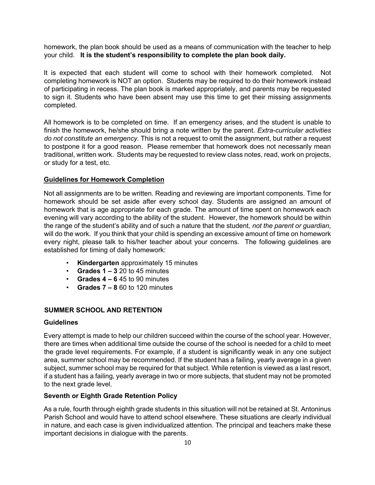homework, the plan book should be used as a means of communication with the teacher to help your child. **It is the student's responsibility to complete the plan book daily.** 

It is expected that each student will come to school with their homework completed. Not completing homework is NOT an option. Students may be required to do their homework instead of participating in recess. The plan book is marked appropriately, and parents may be requested to sign it. Students who have been absent may use this time to get their missing assignments completed.

All homework is to be completed on time. If an emergency arises, and the student is unable to finish the homework, he/she should bring a note written by the parent. *Extra-curricular activities do not constitute an emergency.* This is not a request to omit the assignment, but rather a request to postpone it for a good reason. Please remember that homework does not necessarily mean traditional, written work. Students may be requested to review class notes, read, work on projects, or study for a test, etc.

# **Guidelines for Homework Completion**

Not all assignments are to be written. Reading and reviewing are important components. Time for homework should be set aside after every school day. Students are assigned an amount of homework that is age appropriate for each grade. The amount of time spent on homework each evening will vary according to the ability of the student. However, the homework should be within the range of the student's ability and of such a nature that the student, *not the parent or guardian*, will do the work. If you think that your child is spending an excessive amount of time on homework every night, please talk to his/her teacher about your concerns. The following guidelines are established for timing of daily homework:

- **Kindergarten** approximately 15 minutes
- $\cdot$  **Grades 1 3** 20 to 45 minutes
- $\cdot$  **Grades 4 6** 45 to 90 minutes
- **Grades 7 – 8** 60 to 120 minutes

#### **SUMMER SCHOOL AND RETENTION**

#### **Guidelines**

Every attempt is made to help our children succeed within the course of the school year. However, there are times when additional time outside the course of the school is needed for a child to meet the grade level requirements. For example, if a student is significantly weak in any one subject area, summer school may be recommended. If the student has a failing, yearly average in a given subject, summer school may be required for that subject. While retention is viewed as a last resort, if a student has a failing, yearly average in two or more subjects, that student may not be promoted to the next grade level.

#### **Seventh or Eighth Grade Retention Policy**

As a rule, fourth through eighth grade students in this situation will not be retained at St. Antoninus Parish School and would have to attend school elsewhere. These situations are clearly individual in nature, and each case is given individualized attention. The principal and teachers make these important decisions in dialogue with the parents.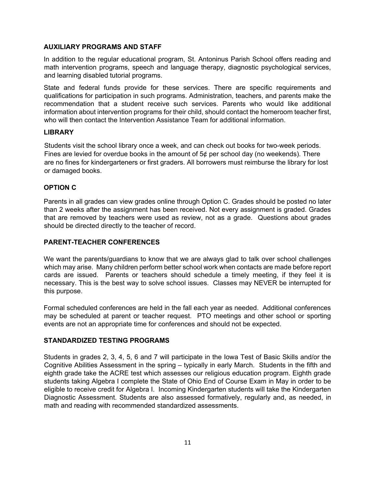# **AUXILIARY PROGRAMS AND STAFF**

In addition to the regular educational program, St. Antoninus Parish School offers reading and math intervention programs, speech and language therapy, diagnostic psychological services, and learning disabled tutorial programs.

State and federal funds provide for these services. There are specific requirements and qualifications for participation in such programs. Administration, teachers, and parents make the recommendation that a student receive such services. Parents who would like additional information about intervention programs for their child, should contact the homeroom teacher first, who will then contact the Intervention Assistance Team for additional information.

### **LIBRARY**

Students visit the school library once a week, and can check out books for two-week periods. Fines are levied for overdue books in the amount of 5¢ per school day (no weekends). There are no fines for kindergarteners or first graders. All borrowers must reimburse the library for lost or damaged books.

# **OPTION C**

Parents in all grades can view grades online through Option C. Grades should be posted no later than 2 weeks after the assignment has been received. Not every assignment is graded. Grades that are removed by teachers were used as review, not as a grade. Questions about grades should be directed directly to the teacher of record.

# **PARENT-TEACHER CONFERENCES**

We want the parents/guardians to know that we are always glad to talk over school challenges which may arise. Many children perform better school work when contacts are made before report cards are issued. Parents or teachers should schedule a timely meeting, if they feel it is necessary. This is the best way to solve school issues. Classes may NEVER be interrupted for this purpose.

Formal scheduled conferences are held in the fall each year as needed. Additional conferences may be scheduled at parent or teacher request. PTO meetings and other school or sporting events are not an appropriate time for conferences and should not be expected.

# **STANDARDIZED TESTING PROGRAMS**

Students in grades 2, 3, 4, 5, 6 and 7 will participate in the Iowa Test of Basic Skills and/or the Cognitive Abilities Assessment in the spring – typically in early March. Students in the fifth and eighth grade take the ACRE test which assesses our religious education program. Eighth grade students taking Algebra I complete the State of Ohio End of Course Exam in May in order to be eligible to receive credit for Algebra I. Incoming Kindergarten students will take the Kindergarten Diagnostic Assessment. Students are also assessed formatively, regularly and, as needed, in math and reading with recommended standardized assessments.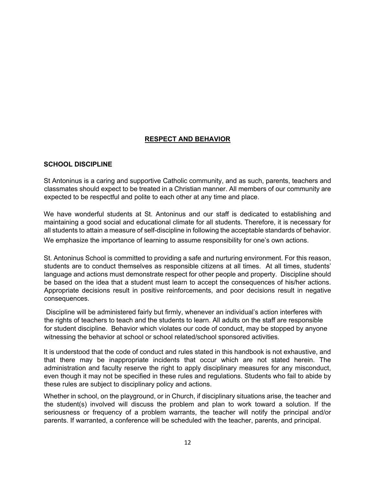# **RESPECT AND BEHAVIOR**

# **SCHOOL DISCIPLINE**

St Antoninus is a caring and supportive Catholic community, and as such, parents, teachers and classmates should expect to be treated in a Christian manner. All members of our community are expected to be respectful and polite to each other at any time and place.

We have wonderful students at St. Antoninus and our staff is dedicated to establishing and maintaining a good social and educational climate for all students. Therefore, it is necessary for all students to attain a measure of self-discipline in following the acceptable standards of behavior.

We emphasize the importance of learning to assume responsibility for one's own actions.

St. Antoninus School is committed to providing a safe and nurturing environment. For this reason, students are to conduct themselves as responsible citizens at all times. At all times, students' language and actions must demonstrate respect for other people and property. Discipline should be based on the idea that a student must learn to accept the consequences of his/her actions. Appropriate decisions result in positive reinforcements, and poor decisions result in negative consequences.

Discipline will be administered fairly but firmly, whenever an individual's action interferes with the rights of teachers to teach and the students to learn. All adults on the staff are responsible for student discipline. Behavior which violates our code of conduct, may be stopped by anyone witnessing the behavior at school or school related/school sponsored activities.

It is understood that the code of conduct and rules stated in this handbook is not exhaustive, and that there may be inappropriate incidents that occur which are not stated herein. The administration and faculty reserve the right to apply disciplinary measures for any misconduct, even though it may not be specified in these rules and regulations. Students who fail to abide by these rules are subject to disciplinary policy and actions.

Whether in school, on the playground, or in Church, if disciplinary situations arise, the teacher and the student(s) involved will discuss the problem and plan to work toward a solution. If the seriousness or frequency of a problem warrants, the teacher will notify the principal and/or parents. If warranted, a conference will be scheduled with the teacher, parents, and principal.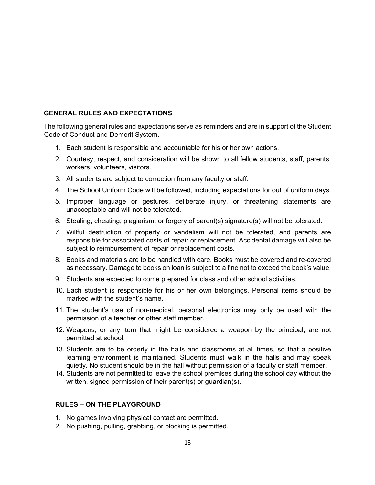# **GENERAL RULES AND EXPECTATIONS**

The following general rules and expectations serve as reminders and are in support of the Student Code of Conduct and Demerit System.

- 1. Each student is responsible and accountable for his or her own actions.
- 2. Courtesy, respect, and consideration will be shown to all fellow students, staff, parents, workers, volunteers, visitors.
- 3. All students are subject to correction from any faculty or staff.
- 4. The School Uniform Code will be followed, including expectations for out of uniform days.
- 5. Improper language or gestures, deliberate injury, or threatening statements are unacceptable and will not be tolerated.
- 6. Stealing, cheating, plagiarism, or forgery of parent(s) signature(s) will not be tolerated.
- 7. Willful destruction of property or vandalism will not be tolerated, and parents are responsible for associated costs of repair or replacement. Accidental damage will also be subject to reimbursement of repair or replacement costs.
- 8. Books and materials are to be handled with care. Books must be covered and re-covered as necessary. Damage to books on loan is subject to a fine not to exceed the book's value.
- 9. Students are expected to come prepared for class and other school activities.
- 10. Each student is responsible for his or her own belongings. Personal items should be marked with the student's name.
- 11. The student's use of non-medical, personal electronics may only be used with the permission of a teacher or other staff member.
- 12. Weapons, or any item that might be considered a weapon by the principal, are not permitted at school.
- 13. Students are to be orderly in the halls and classrooms at all times, so that a positive learning environment is maintained. Students must walk in the halls and may speak quietly. No student should be in the hall without permission of a faculty or staff member.
- 14. Students are not permitted to leave the school premises during the school day without the written, signed permission of their parent(s) or guardian(s).

# **RULES – ON THE PLAYGROUND**

- 1. No games involving physical contact are permitted.
- 2. No pushing, pulling, grabbing, or blocking is permitted.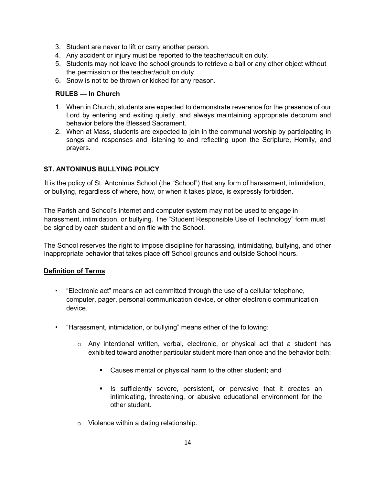- 3. Student are never to lift or carry another person.
- 4. Any accident or injury must be reported to the teacher/adult on duty.
- 5. Students may not leave the school grounds to retrieve a ball or any other object without the permission or the teacher/adult on duty.
- 6. Snow is not to be thrown or kicked for any reason.

### **RULES — In Church**

- 1. When in Church, students are expected to demonstrate reverence for the presence of our Lord by entering and exiting quietly, and always maintaining appropriate decorum and behavior before the Blessed Sacrament.
- 2. When at Mass, students are expected to join in the communal worship by participating in songs and responses and listening to and reflecting upon the Scripture, Homily, and prayers.

# **ST. ANTONINUS BULLYING POLICY**

It is the policy of St. Antoninus School (the "School") that any form of harassment, intimidation, or bullying, regardless of where, how, or when it takes place, is expressly forbidden.

The Parish and School's internet and computer system may not be used to engage in harassment, intimidation, or bullying. The "Student Responsible Use of Technology" form must be signed by each student and on file with the School.

The School reserves the right to impose discipline for harassing, intimidating, bullying, and other inappropriate behavior that takes place off School grounds and outside School hours.

#### **Definition of Terms**

- "Electronic act" means an act committed through the use of a cellular telephone, computer, pager, personal communication device, or other electronic communication device.
- "Harassment, intimidation, or bullying" means either of the following:
	- $\circ$  Any intentional written, verbal, electronic, or physical act that a student has exhibited toward another particular student more than once and the behavior both:
		- Causes mental or physical harm to the other student; and
		- **•** Is sufficiently severe, persistent, or pervasive that it creates an intimidating, threatening, or abusive educational environment for the other student.
	- o Violence within a dating relationship.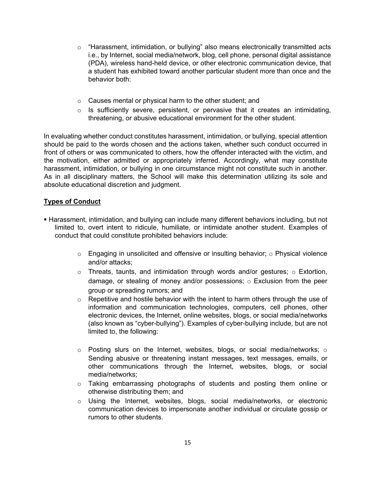- o "Harassment, intimidation, or bullying" also means electronically transmitted acts i.e., by Internet, social media/network, blog, cell phone, personal digital assistance (PDA), wireless hand-held device, or other electronic communication device, that a student has exhibited toward another particular student more than once and the behavior both:
- o Causes mental or physical harm to the other student; and
- $\circ$  Is sufficiently severe, persistent, or pervasive that it creates an intimidating, threatening, or abusive educational environment for the other student.

In evaluating whether conduct constitutes harassment, intimidation, or bullying, special attention should be paid to the words chosen and the actions taken, whether such conduct occurred in front of others or was communicated to others, how the offender interacted with the victim, and the motivation, either admitted or appropriately inferred. Accordingly, what may constitute harassment, intimidation, or bullying in one circumstance might not constitute such in another. As in all disciplinary matters, the School will make this determination utilizing its sole and absolute educational discretion and judgment.

# **Types of Conduct**

- **Harassment, intimidation, and bullying can include many different behaviors including, but not** limited to, overt intent to ridicule, humiliate, or intimidate another student. Examples of conduct that could constitute prohibited behaviors include:
	- $\circ$  Engaging in unsolicited and offensive or insulting behavior;  $\circ$  Physical violence and/or attacks;
	- $\circ$  Threats, taunts, and intimidation through words and/or gestures;  $\circ$  Extortion, damage, or stealing of money and/or possessions;  $\circ$  Exclusion from the peer group or spreading rumors; and
	- $\circ$  Repetitive and hostile behavior with the intent to harm others through the use of information and communication technologies, computers, cell phones, other electronic devices, the Internet, online websites, blogs, or social media/networks (also known as "cyber-bullying"). Examples of cyber-bullying include, but are not limited to, the following:
	- $\circ$  Posting slurs on the Internet, websites, blogs, or social media/networks;  $\circ$ Sending abusive or threatening instant messages, text messages, emails, or other communications through the Internet, websites, blogs, or social media/networks;
	- o Taking embarrassing photographs of students and posting them online or otherwise distributing them; and
	- o Using the Internet, websites, blogs, social media/networks, or electronic communication devices to impersonate another individual or circulate gossip or rumors to other students.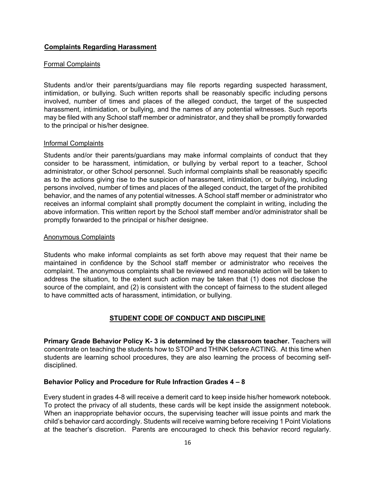# **Complaints Regarding Harassment**

#### Formal Complaints

Students and/or their parents/guardians may file reports regarding suspected harassment, intimidation, or bullying. Such written reports shall be reasonably specific including persons involved, number of times and places of the alleged conduct, the target of the suspected harassment, intimidation, or bullying, and the names of any potential witnesses. Such reports may be filed with any School staff member or administrator, and they shall be promptly forwarded to the principal or his/her designee.

#### Informal Complaints

Students and/or their parents/guardians may make informal complaints of conduct that they consider to be harassment, intimidation, or bullying by verbal report to a teacher, School administrator, or other School personnel. Such informal complaints shall be reasonably specific as to the actions giving rise to the suspicion of harassment, intimidation, or bullying, including persons involved, number of times and places of the alleged conduct, the target of the prohibited behavior, and the names of any potential witnesses. A School staff member or administrator who receives an informal complaint shall promptly document the complaint in writing, including the above information. This written report by the School staff member and/or administrator shall be promptly forwarded to the principal or his/her designee.

#### Anonymous Complaints

Students who make informal complaints as set forth above may request that their name be maintained in confidence by the School staff member or administrator who receives the complaint. The anonymous complaints shall be reviewed and reasonable action will be taken to address the situation, to the extent such action may be taken that (1) does not disclose the source of the complaint, and (2) is consistent with the concept of fairness to the student alleged to have committed acts of harassment, intimidation, or bullying.

# **STUDENT CODE OF CONDUCT AND DISCIPLINE**

**Primary Grade Behavior Policy K- 3 is determined by the classroom teacher.** Teachers will concentrate on teaching the students how to STOP and THINK before ACTING. At this time when students are learning school procedures, they are also learning the process of becoming selfdisciplined.

#### **Behavior Policy and Procedure for Rule Infraction Grades 4 – 8**

Every student in grades 4-8 will receive a demerit card to keep inside his/her homework notebook. To protect the privacy of all students, these cards will be kept inside the assignment notebook. When an inappropriate behavior occurs, the supervising teacher will issue points and mark the child's behavior card accordingly. Students will receive warning before receiving 1 Point Violations at the teacher's discretion. Parents are encouraged to check this behavior record regularly.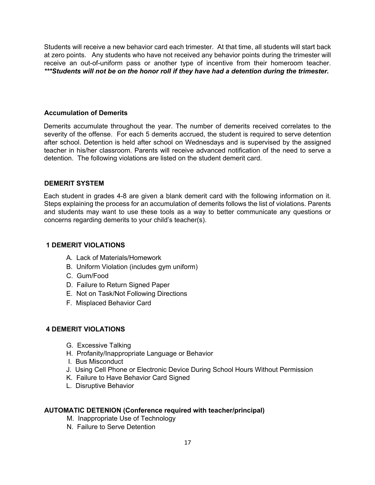Students will receive a new behavior card each trimester. At that time, all students will start back at zero points. Any students who have not received any behavior points during the trimester will receive an out-of-uniform pass or another type of incentive from their homeroom teacher. *\*\*\*Students will not be on the honor roll if they have had a detention during the trimester.* 

### **Accumulation of Demerits**

Demerits accumulate throughout the year. The number of demerits received correlates to the severity of the offense. For each 5 demerits accrued, the student is required to serve detention after school. Detention is held after school on Wednesdays and is supervised by the assigned teacher in his/her classroom. Parents will receive advanced notification of the need to serve a detention. The following violations are listed on the student demerit card.

### **DEMERIT SYSTEM**

Each student in grades 4-8 are given a blank demerit card with the following information on it. Steps explaining the process for an accumulation of demerits follows the list of violations. Parents and students may want to use these tools as a way to better communicate any questions or concerns regarding demerits to your child's teacher(s).

#### **1 DEMERIT VIOLATIONS**

- A. Lack of Materials/Homework
- B. Uniform Violation (includes gym uniform)
- C. Gum/Food
- D. Failure to Return Signed Paper
- E. Not on Task/Not Following Directions
- F. Misplaced Behavior Card

#### **4 DEMERIT VIOLATIONS**

- G. Excessive Talking
- H. Profanity/Inappropriate Language or Behavior
- I. Bus Misconduct
- J. Using Cell Phone or Electronic Device During School Hours Without Permission
- K. Failure to Have Behavior Card Signed
- L. Disruptive Behavior

# **AUTOMATIC DETENION (Conference required with teacher/principal)**

- M. Inappropriate Use of Technology
- N. Failure to Serve Detention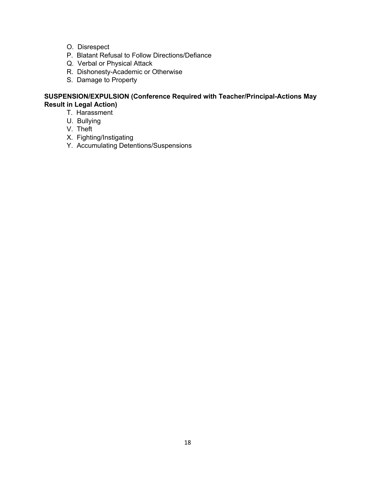- O. Disrespect
- P. Blatant Refusal to Follow Directions/Defiance
- Q. Verbal or Physical Attack
- R. Dishonesty-Academic or Otherwise
- S. Damage to Property

# **SUSPENSION/EXPULSION (Conference Required with Teacher/Principal-Actions May Result in Legal Action)**

- T. Harassment
- U. Bullying
- V. Theft
- X. Fighting/Instigating
- Y. Accumulating Detentions/Suspensions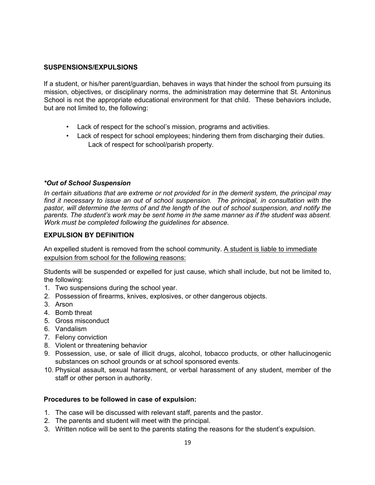# **SUSPENSIONS/EXPULSIONS**

If a student, or his/her parent/guardian, behaves in ways that hinder the school from pursuing its mission, objectives, or disciplinary norms, the administration may determine that St. Antoninus School is not the appropriate educational environment for that child. These behaviors include, but are not limited to, the following:

- Lack of respect for the school's mission, programs and activities.
- Lack of respect for school employees; hindering them from discharging their duties. Lack of respect for school/parish property.

#### *\*Out of School Suspension*

*In certain situations that are extreme or not provided for in the demerit system, the principal may find it necessary to issue an out of school suspension. The principal, in consultation with the pastor, will determine the terms of and the length of the out of school suspension, and notify the parents. The student's work may be sent home in the same manner as if the student was absent. Work must be completed following the guidelines for absence.* 

#### **EXPULSION BY DEFINITION**

An expelled student is removed from the school community. A student is liable to immediate expulsion from school for the following reasons:

Students will be suspended or expelled for just cause, which shall include, but not be limited to, the following:

- 1. Two suspensions during the school year.
- 2. Possession of firearms, knives, explosives, or other dangerous objects.
- 3. Arson
- 4. Bomb threat
- 5. Gross misconduct
- 6. Vandalism
- 7. Felony conviction
- 8. Violent or threatening behavior
- 9. Possession, use, or sale of illicit drugs, alcohol, tobacco products, or other hallucinogenic substances on school grounds or at school sponsored events.
- 10. Physical assault, sexual harassment, or verbal harassment of any student, member of the staff or other person in authority.

#### **Procedures to be followed in case of expulsion:**

- 1. The case will be discussed with relevant staff, parents and the pastor.
- 2. The parents and student will meet with the principal.
- 3. Written notice will be sent to the parents stating the reasons for the student's expulsion.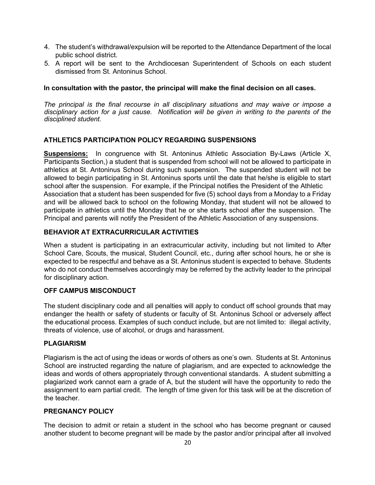- 4. The student's withdrawal/expulsion will be reported to the Attendance Department of the local public school district.
- 5. A report will be sent to the Archdiocesan Superintendent of Schools on each student dismissed from St. Antoninus School.

### **In consultation with the pastor, the principal will make the final decision on all cases.**

*The principal is the final recourse in all disciplinary situations and may waive or impose a disciplinary action for a just cause. Notification will be given in writing to the parents of the disciplined student.* 

# **ATHLETICS PARTICIPATION POLICY REGARDING SUSPENSIONS**

**Suspensions:** In congruence with St. Antoninus Athletic Association By-Laws (Article X, Participants Section,) a student that is suspended from school will not be allowed to participate in athletics at St. Antoninus School during such suspension. The suspended student will not be allowed to begin participating in St. Antoninus sports until the date that he/she is eligible to start school after the suspension. For example, if the Principal notifies the President of the Athletic Association that a student has been suspended for five (5) school days from a Monday to a Friday and will be allowed back to school on the following Monday, that student will not be allowed to participate in athletics until the Monday that he or she starts school after the suspension. The Principal and parents will notify the President of the Athletic Association of any suspensions.

# **BEHAVIOR AT EXTRACURRICULAR ACTIVITIES**

When a student is participating in an extracurricular activity, including but not limited to After School Care, Scouts, the musical, Student Council, etc., during after school hours, he or she is expected to be respectful and behave as a St. Antoninus student is expected to behave. Students who do not conduct themselves accordingly may be referred by the activity leader to the principal for disciplinary action.

# **OFF CAMPUS MISCONDUCT**

The student disciplinary code and all penalties will apply to conduct off school grounds that may endanger the health or safety of students or faculty of St. Antoninus School or adversely affect the educational process. Examples of such conduct include, but are not limited to: illegal activity, threats of violence, use of alcohol, or drugs and harassment.

# **PLAGIARISM**

Plagiarism is the act of using the ideas or words of others as one's own. Students at St. Antoninus School are instructed regarding the nature of plagiarism, and are expected to acknowledge the ideas and words of others appropriately through conventional standards. A student submitting a plagiarized work cannot earn a grade of A, but the student will have the opportunity to redo the assignment to earn partial credit. The length of time given for this task will be at the discretion of the teacher.

# **PREGNANCY POLICY**

The decision to admit or retain a student in the school who has become pregnant or caused another student to become pregnant will be made by the pastor and/or principal after all involved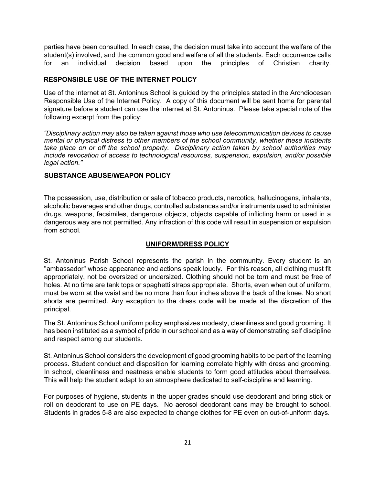parties have been consulted. In each case, the decision must take into account the welfare of the student(s) involved, and the common good and welfare of all the students. Each occurrence calls for an individual decision based upon the principles of Christian charity.

# **RESPONSIBLE USE OF THE INTERNET POLICY**

Use of the internet at St. Antoninus School is guided by the principles stated in the Archdiocesan Responsible Use of the Internet Policy. A copy of this document will be sent home for parental signature before a student can use the internet at St. Antoninus. Please take special note of the following excerpt from the policy:

*"Disciplinary action may also be taken against those who use telecommunication devices to cause mental or physical distress to other members of the school community, whether these incidents take place on or off the school property. Disciplinary action taken by school authorities may include revocation of access to technological resources, suspension, expulsion, and/or possible legal action."*

# **SUBSTANCE ABUSE/WEAPON POLICY**

The possession, use, distribution or sale of tobacco products, narcotics, hallucinogens, inhalants, alcoholic beverages and other drugs, controlled substances and/or instruments used to administer drugs, weapons, facsimiles, dangerous objects, objects capable of inflicting harm or used in a dangerous way are not permitted. Any infraction of this code will result in suspension or expulsion from school.

# **UNIFORM/DRESS POLICY**

St. Antoninus Parish School represents the parish in the community. Every student is an "ambassador" whose appearance and actions speak loudly. For this reason, all clothing must fit appropriately, not be oversized or undersized. Clothing should not be torn and must be free of holes. At no time are tank tops or spaghetti straps appropriate. Shorts, even when out of uniform, must be worn at the waist and be no more than four inches above the back of the knee. No short shorts are permitted. Any exception to the dress code will be made at the discretion of the principal.

The St. Antoninus School uniform policy emphasizes modesty, cleanliness and good grooming. It has been instituted as a symbol of pride in our school and as a way of demonstrating self discipline and respect among our students.

St. Antoninus School considers the development of good grooming habits to be part of the learning process. Student conduct and disposition for learning correlate highly with dress and grooming. In school, cleanliness and neatness enable students to form good attitudes about themselves. This will help the student adapt to an atmosphere dedicated to self-discipline and learning.

For purposes of hygiene, students in the upper grades should use deodorant and bring stick or roll on deodorant to use on PE days. No aerosol deodorant cans may be brought to school. Students in grades 5-8 are also expected to change clothes for PE even on out-of-uniform days.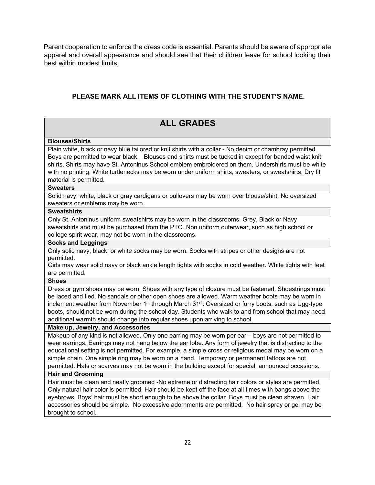Parent cooperation to enforce the dress code is essential. Parents should be aware of appropriate apparel and overall appearance and should see that their children leave for school looking their best within modest limits.

# **PLEASE MARK ALL ITEMS OF CLOTHING WITH THE STUDENT'S NAME.**

# **ALL GRADES Blouses/Shirts**  Plain white, black or navy blue tailored or knit shirts with a collar - No denim or chambray permitted. Boys are permitted to wear black. Blouses and shirts must be tucked in except for banded waist knit shirts. Shirts may have St. Antoninus School emblem embroidered on them. Undershirts must be white with no printing. White turtlenecks may be worn under uniform shirts, sweaters, or sweatshirts. Dry fit material is permitted. **Sweaters**  Solid navy, white, black or gray cardigans or pullovers may be worn over blouse/shirt. No oversized sweaters or emblems may be worn. **Sweatshirts**  Only St. Antoninus uniform sweatshirts may be worn in the classrooms. Grey, Black or Navy sweatshirts and must be purchased from the PTO. Non uniform outerwear, such as high school or college spirit wear, may not be worn in the classrooms. **Socks and Leggings**  Only solid navy, black, or white socks may be worn. Socks with stripes or other designs are not permitted. Girls may wear solid navy or black ankle length tights with socks in cold weather. White tights with feet are permitted. **Shoes**  Dress or gym shoes may be worn. Shoes with any type of closure must be fastened. Shoestrings must be laced and tied. No sandals or other open shoes are allowed. Warm weather boots may be worn in inclement weather from November 1<sup>st</sup> through March 31<sup>st</sup>. Oversized or furry boots, such as Ugg-type boots, should not be worn during the school day. Students who walk to and from school that may need additional warmth should change into regular shoes upon arriving to school. **Make up, Jewelry, and Accessories**  Makeup of any kind is not allowed. Only one earring may be worn per ear – boys are not permitted to wear earrings. Earrings may not hang below the ear lobe. Any form of jewelry that is distracting to the educational setting is not permitted. For example, a simple cross or religious medal may be worn on a simple chain. One simple ring may be worn on a hand. Temporary or permanent tattoos are not permitted. Hats or scarves may not be worn in the building except for special, announced occasions. **Hair and Grooming**  Hair must be clean and neatly groomed -No extreme or distracting hair colors or styles are permitted. Only natural hair color is permitted. Hair should be kept off the face at all times with bangs above the eyebrows. Boys' hair must be short enough to be above the collar. Boys must be clean shaven. Hair accessories should be simple. No excessive adornments are permitted. No hair spray or gel may be brought to school.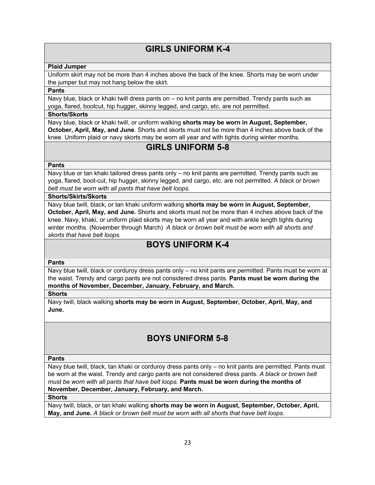# **GIRLS UNIFORM K-4**

#### **Plaid Jumper**

Uniform skirt may not be more than 4 inches above the back of the knee. Shorts may be worn under the jumper but may not hang below the skirt.

#### **Pants**

Navy blue, black or khaki twill dress pants on – no knit pants are permitted. Trendy pants such as yoga, flared, bootcut, hip hugger, skinny legged, and cargo, etc. are not permitted.

# **Shorts/Skorts**

Navy blue, black or khaki twill, or uniform walking **shorts may be worn in August, September, October, April, May, and June**. Shorts and skorts must not be more than 4 inches above back of the knee. Uniform plaid or navy skorts may be worn all year and with tights during winter months.

# **GIRLS UNIFORM 5-8**

#### **Pants**

Navy blue or tan khaki tailored dress pants only – no knit pants are permitted. Trendy pants such as yoga, flared, boot-cut, hip hugger, skinny legged, and cargo, etc. are not permitted*. A black or brown belt must be worn with all pants that have belt loops.*

#### **Shorts/Skirts/Skorts**

Navy blue twill, black, or tan khaki uniform walking **shorts may be worn in August, September, October, April, May, and June.** Shorts and skorts must not be more than 4 inches above back of the knee. Navy, khaki, or uniform plaid skorts may be worn all year and with ankle length tights during winter months*.* (November through March) *A black or brown belt must be worn with all shorts and skorts that have belt loops.*

# **BOYS UNIFORM K-4**

#### **Pants**

Navy blue twill, black or corduroy dress pants only – no knit pants are permitted. Pants must be worn at the waist. Trendy and cargo pants are not considered dress pants. **Pants must be worn during the months of November, December, January, February, and March.**

# **Shorts**

Navy twill, black walking **shorts may be worn in August, September, October, April, May, and June.** 

# **BOYS UNIFORM 5-8**

#### **Pants**

Navy blue twill, black, tan khaki or corduroy dress pants only – no knit pants are permitted. Pants must be worn at the waist. Trendy and cargo pants are not considered dress pants. *A black or brown belt must be worn with all pants that have belt loops.* **Pants must be worn during the months of November, December, January, February, and March.**

#### **Shorts**

Navy twill, black, or tan khaki walking **shorts may be worn in August, September, October, April, May, and June.** *A black or brown belt must be worn with all shorts that have belt loops.*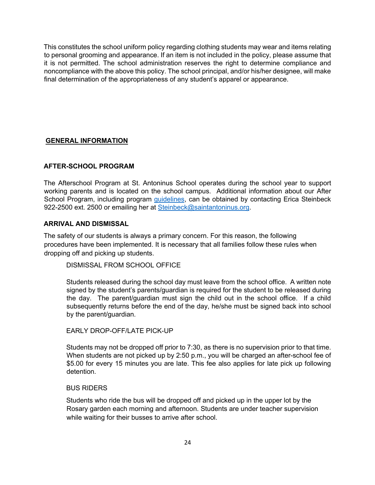This constitutes the school uniform policy regarding clothing students may wear and items relating to personal grooming and appearance. If an item is not included in the policy, please assume that it is not permitted. The school administration reserves the right to determine compliance and noncompliance with the above this policy. The school principal, and/or his/her designee, will make final determination of the appropriateness of any student's apparel or appearance.

# **GENERAL INFORMATION**

# **AFTER-SCHOOL PROGRAM**

The Afterschool Program at St. Antoninus School operates during the school year to support working parents and is located on the school campus. Additional information about our After School Program, including program guidelines, can be obtained by contacting Erica Steinbeck 922-2500 ext. 2500 or emailing her at Steinbeck@saintantoninus.org.

# **ARRIVAL AND DISMISSAL**

The safety of our students is always a primary concern. For this reason, the following procedures have been implemented. It is necessary that all families follow these rules when dropping off and picking up students.

DISMISSAL FROM SCHOOL OFFICE

Students released during the school day must leave from the school office. A written note signed by the student's parents/guardian is required for the student to be released during the day. The parent/guardian must sign the child out in the school office. If a child subsequently returns before the end of the day, he/she must be signed back into school by the parent/guardian.

# EARLY DROP-OFF/LATE PICK-UP

Students may not be dropped off prior to 7:30, as there is no supervision prior to that time. When students are not picked up by 2:50 p.m., you will be charged an after-school fee of \$5.00 for every 15 minutes you are late. This fee also applies for late pick up following detention.

#### BUS RIDERS

Students who ride the bus will be dropped off and picked up in the upper lot by the Rosary garden each morning and afternoon. Students are under teacher supervision while waiting for their busses to arrive after school.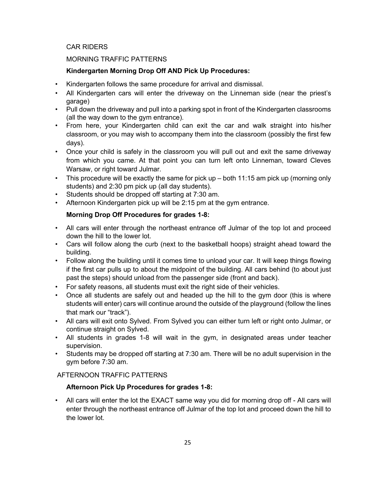# CAR RIDERS

# MORNING TRAFFIC PATTERNS

# **Kindergarten Morning Drop Off AND Pick Up Procedures:**

- Kindergarten follows the same procedure for arrival and dismissal.
- All Kindergarten cars will enter the driveway on the Linneman side (near the priest's garage)
- Pull down the driveway and pull into a parking spot in front of the Kindergarten classrooms (all the way down to the gym entrance).
- From here, your Kindergarten child can exit the car and walk straight into his/her classroom, or you may wish to accompany them into the classroom (possibly the first few days).
- Once your child is safely in the classroom you will pull out and exit the same driveway from which you came. At that point you can turn left onto Linneman, toward Cleves Warsaw, or right toward Julmar.
- This procedure will be exactly the same for pick up both 11:15 am pick up (morning only students) and 2:30 pm pick up (all day students).
- Students should be dropped off starting at 7:30 am.
- Afternoon Kindergarten pick up will be 2:15 pm at the gym entrance.

# **Morning Drop Off Procedures for grades 1-8:**

- All cars will enter through the northeast entrance off Julmar of the top lot and proceed down the hill to the lower lot.
- Cars will follow along the curb (next to the basketball hoops) straight ahead toward the building.
- Follow along the building until it comes time to unload your car. It will keep things flowing if the first car pulls up to about the midpoint of the building. All cars behind (to about just past the steps) should unload from the passenger side (front and back).
- For safety reasons, all students must exit the right side of their vehicles.
- Once all students are safely out and headed up the hill to the gym door (this is where students will enter) cars will continue around the outside of the playground (follow the lines that mark our "track").
- All cars will exit onto Sylved. From Sylved you can either turn left or right onto Julmar, or continue straight on Sylved.
- All students in grades 1-8 will wait in the gym, in designated areas under teacher supervision.
- Students may be dropped off starting at 7:30 am. There will be no adult supervision in the gym before 7:30 am.

# AFTERNOON TRAFFIC PATTERNS

# **Afternoon Pick Up Procedures for grades 1-8:**

• All cars will enter the lot the EXACT same way you did for morning drop off - All cars will enter through the northeast entrance off Julmar of the top lot and proceed down the hill to the lower lot.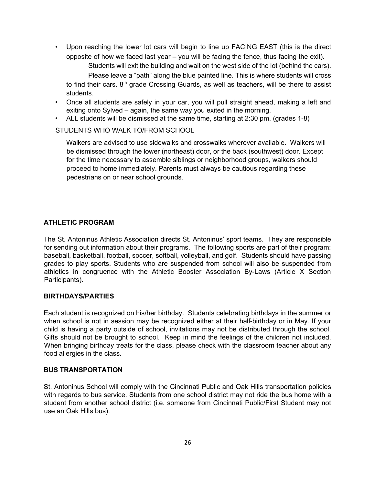• Upon reaching the lower lot cars will begin to line up FACING EAST (this is the direct opposite of how we faced last year – you will be facing the fence, thus facing the exit).

Students will exit the building and wait on the west side of the lot (behind the cars). Please leave a "path" along the blue painted line. This is where students will cross to find their cars. 8<sup>th</sup> grade Crossing Guards, as well as teachers, will be there to assist students.

- Once all students are safely in your car, you will pull straight ahead, making a left and exiting onto Sylved – again, the same way you exited in the morning.
- ALL students will be dismissed at the same time, starting at 2:30 pm. (grades 1-8)

### STUDENTS WHO WALK TO/FROM SCHOOL

Walkers are advised to use sidewalks and crosswalks wherever available. Walkers will be dismissed through the lower (northeast) door, or the back (southwest) door. Except for the time necessary to assemble siblings or neighborhood groups, walkers should proceed to home immediately. Parents must always be cautious regarding these pedestrians on or near school grounds.

# **ATHLETIC PROGRAM**

The St. Antoninus Athletic Association directs St. Antoninus' sport teams. They are responsible for sending out information about their programs. The following sports are part of their program: baseball, basketball, football, soccer, softball, volleyball, and golf. Students should have passing grades to play sports. Students who are suspended from school will also be suspended from athletics in congruence with the Athletic Booster Association By-Laws (Article X Section Participants).

#### **BIRTHDAYS/PARTIES**

Each student is recognized on his/her birthday. Students celebrating birthdays in the summer or when school is not in session may be recognized either at their half-birthday or in May. If your child is having a party outside of school, invitations may not be distributed through the school. Gifts should not be brought to school. Keep in mind the feelings of the children not included. When bringing birthday treats for the class, please check with the classroom teacher about any food allergies in the class.

#### **BUS TRANSPORTATION**

St. Antoninus School will comply with the Cincinnati Public and Oak Hills transportation policies with regards to bus service. Students from one school district may not ride the bus home with a student from another school district (i.e. someone from Cincinnati Public/First Student may not use an Oak Hills bus).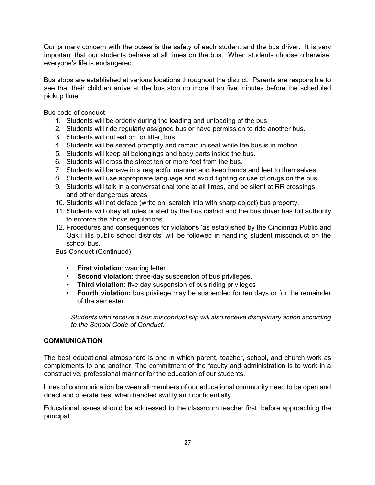Our primary concern with the buses is the safety of each student and the bus driver. It is very important that our students behave at all times on the bus. When students choose otherwise, everyone's life is endangered.

Bus stops are established at various locations throughout the district. Parents are responsible to see that their children arrive at the bus stop no more than five minutes before the scheduled pickup time.

Bus code of conduct

- 1. Students will be orderly during the loading and unloading of the bus.
- 2. Students will ride regularly assigned bus or have permission to ride another bus.
- 3. Students will not eat on, or litter, bus.
- 4. Students will be seated promptly and remain in seat while the bus is in motion.
- 5. Students will keep all belongings and body parts inside the bus.
- 6. Students will cross the street ten or more feet from the bus.
- 7. Students will behave in a respectful manner and keep hands and feet to themselves.
- 8. Students will use appropriate language and avoid fighting or use of drugs on the bus.
- 9. Students will talk in a conversational tone at all times, and be silent at RR crossings and other dangerous areas.
- 10. Students will not deface (write on, scratch into with sharp object) bus property.
- 11. Students will obey all rules posted by the bus district and the bus driver has full authority to enforce the above regulations.
- 12. Procedures and consequences for violations 'as established by the Cincinnati Public and Oak Hills public school districts' will be followed in handling student misconduct on the school bus.

Bus Conduct (Continued)

- **First violation**: warning letter
- **Second violation:** three-day suspension of bus privileges.
- **Third violation:** five day suspension of bus riding privileges
- **Fourth violation:** bus privilege may be suspended for ten days or for the remainder of the semester.

*Students who receive a bus misconduct slip will also receive disciplinary action according to the School Code of Conduct.* 

# **COMMUNICATION**

The best educational atmosphere is one in which parent, teacher, school, and church work as complements to one another. The commitment of the faculty and administration is to work in a constructive, professional manner for the education of our students.

Lines of communication between all members of our educational community need to be open and direct and operate best when handled swiftly and confidentially.

Educational issues should be addressed to the classroom teacher first, before approaching the principal.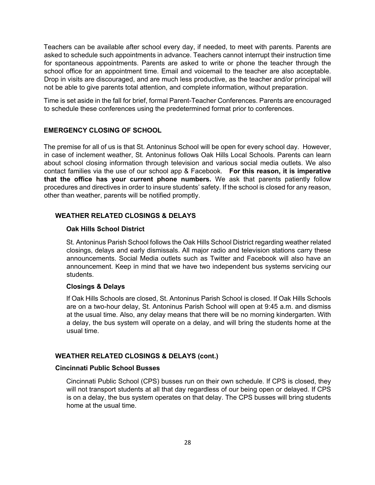Teachers can be available after school every day, if needed, to meet with parents. Parents are asked to schedule such appointments in advance. Teachers cannot interrupt their instruction time for spontaneous appointments. Parents are asked to write or phone the teacher through the school office for an appointment time. Email and voicemail to the teacher are also acceptable. Drop in visits are discouraged, and are much less productive, as the teacher and/or principal will not be able to give parents total attention, and complete information, without preparation.

Time is set aside in the fall for brief, formal Parent-Teacher Conferences. Parents are encouraged to schedule these conferences using the predetermined format prior to conferences.

# **EMERGENCY CLOSING OF SCHOOL**

The premise for all of us is that St. Antoninus School will be open for every school day. However, in case of inclement weather, St. Antoninus follows Oak Hills Local Schools. Parents can learn about school closing information through television and various social media outlets. We also contact families via the use of our school app & Facebook. **For this reason, it is imperative that the office has your current phone numbers.** We ask that parents patiently follow procedures and directives in order to insure students' safety. If the school is closed for any reason, other than weather, parents will be notified promptly.

# **WEATHER RELATED CLOSINGS & DELAYS**

#### **Oak Hills School District**

St. Antoninus Parish School follows the Oak Hills School District regarding weather related closings, delays and early dismissals. All major radio and television stations carry these announcements. Social Media outlets such as Twitter and Facebook will also have an announcement. Keep in mind that we have two independent bus systems servicing our students.

#### **Closings & Delays**

If Oak Hills Schools are closed, St. Antoninus Parish School is closed. If Oak Hills Schools are on a two-hour delay, St. Antoninus Parish School will open at 9:45 a.m. and dismiss at the usual time. Also, any delay means that there will be no morning kindergarten. With a delay, the bus system will operate on a delay, and will bring the students home at the usual time.

# **WEATHER RELATED CLOSINGS & DELAYS (cont.)**

#### **Cincinnati Public School Busses**

Cincinnati Public School (CPS) busses run on their own schedule. If CPS is closed, they will not transport students at all that day regardless of our being open or delayed. If CPS is on a delay, the bus system operates on that delay. The CPS busses will bring students home at the usual time.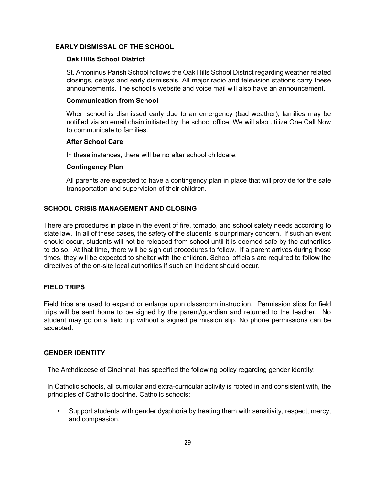# **EARLY DISMISSAL OF THE SCHOOL**

#### **Oak Hills School District**

St. Antoninus Parish School follows the Oak Hills School District regarding weather related closings, delays and early dismissals. All major radio and television stations carry these announcements. The school's website and voice mail will also have an announcement.

#### **Communication from School**

When school is dismissed early due to an emergency (bad weather), families may be notified via an email chain initiated by the school office. We will also utilize One Call Now to communicate to families.

#### **After School Care**

In these instances, there will be no after school childcare.

#### **Contingency Plan**

All parents are expected to have a contingency plan in place that will provide for the safe transportation and supervision of their children.

### **SCHOOL CRISIS MANAGEMENT AND CLOSING**

There are procedures in place in the event of fire, tornado, and school safety needs according to state law. In all of these cases, the safety of the students is our primary concern. If such an event should occur, students will not be released from school until it is deemed safe by the authorities to do so. At that time, there will be sign out procedures to follow. If a parent arrives during those times, they will be expected to shelter with the children. School officials are required to follow the directives of the on-site local authorities if such an incident should occur.

#### **FIELD TRIPS**

Field trips are used to expand or enlarge upon classroom instruction. Permission slips for field trips will be sent home to be signed by the parent/guardian and returned to the teacher. No student may go on a field trip without a signed permission slip. No phone permissions can be accepted.

#### **GENDER IDENTITY**

The Archdiocese of Cincinnati has specified the following policy regarding gender identity:

In Catholic schools, all curricular and extra-curricular activity is rooted in and consistent with, the principles of Catholic doctrine. Catholic schools:

• Support students with gender dysphoria by treating them with sensitivity, respect, mercy, and compassion.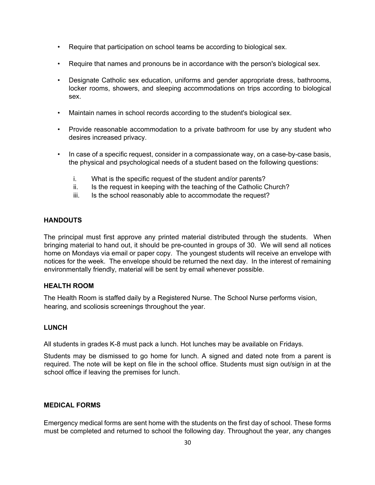- Require that participation on school teams be according to biological sex.
- Require that names and pronouns be in accordance with the person's biological sex.
- Designate Catholic sex education, uniforms and gender appropriate dress, bathrooms, locker rooms, showers, and sleeping accommodations on trips according to biological sex.
- Maintain names in school records according to the student's biological sex.
- Provide reasonable accommodation to a private bathroom for use by any student who desires increased privacy.
- In case of a specific request, consider in a compassionate way, on a case-by-case basis, the physical and psychological needs of a student based on the following questions:
	- i. What is the specific request of the student and/or parents?
	- ii. Is the request in keeping with the teaching of the Catholic Church?
	- iii. Is the school reasonably able to accommodate the request?

# **HANDOUTS**

The principal must first approve any printed material distributed through the students. When bringing material to hand out, it should be pre-counted in groups of 30. We will send all notices home on Mondays via email or paper copy. The youngest students will receive an envelope with notices for the week. The envelope should be returned the next day. In the interest of remaining environmentally friendly, material will be sent by email whenever possible.

# **HEALTH ROOM**

The Health Room is staffed daily by a Registered Nurse. The School Nurse performs vision, hearing, and scoliosis screenings throughout the year.

# **LUNCH**

All students in grades K-8 must pack a lunch. Hot lunches may be available on Fridays.

Students may be dismissed to go home for lunch. A signed and dated note from a parent is required. The note will be kept on file in the school office. Students must sign out/sign in at the school office if leaving the premises for lunch.

# **MEDICAL FORMS**

Emergency medical forms are sent home with the students on the first day of school. These forms must be completed and returned to school the following day. Throughout the year, any changes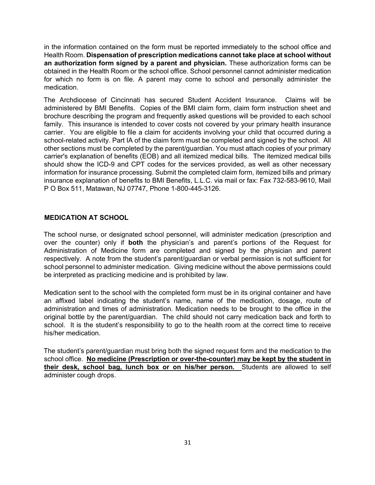in the information contained on the form must be reported immediately to the school office and Health Room. **Dispensation of prescription medications cannot take place at school without an authorization form signed by a parent and physician.** These authorization forms can be obtained in the Health Room or the school office. School personnel cannot administer medication for which no form is on file. A parent may come to school and personally administer the medication.

The Archdiocese of Cincinnati has secured Student Accident Insurance. Claims will be administered by BMI Benefits. Copies of the BMI claim form, claim form instruction sheet and brochure describing the program and frequently asked questions will be provided to each school family. This insurance is intended to cover costs not covered by your primary health insurance carrier. You are eligible to file a claim for accidents involving your child that occurred during a school-related activity. Part IA of the claim form must be completed and signed by the school. All other sections must be completed by the parent/guardian. You must attach copies of your primary carrier's explanation of benefits (EOB) and all itemized medical bills. The itemized medical bills should show the ICD-9 and CPT codes for the services provided, as well as other necessary information for insurance processing. Submit the completed claim form, itemized bills and primary insurance explanation of benefits to BMI Benefits, L.L.C. via mail or fax: Fax 732-583-9610, Mail P O Box 511, Matawan, NJ 07747, Phone 1-800-445-3126.

# **MEDICATION AT SCHOOL**

The school nurse, or designated school personnel, will administer medication (prescription and over the counter) only if **both** the physician's and parent's portions of the Request for Administration of Medicine form are completed and signed by the physician and parent respectively. A note from the student's parent/guardian or verbal permission is not sufficient for school personnel to administer medication. Giving medicine without the above permissions could be interpreted as practicing medicine and is prohibited by law.

Medication sent to the school with the completed form must be in its original container and have an affixed label indicating the student's name, name of the medication, dosage, route of administration and times of administration. Medication needs to be brought to the office in the original bottle by the parent/guardian. The child should not carry medication back and forth to school. It is the student's responsibility to go to the health room at the correct time to receive his/her medication.

The student's parent/guardian must bring both the signed request form and the medication to the school office. **No medicine (Prescription or over-the-counter) may be kept by the student in their desk, school bag, lunch box or on his/her person.** Students are allowed to self administer cough drops.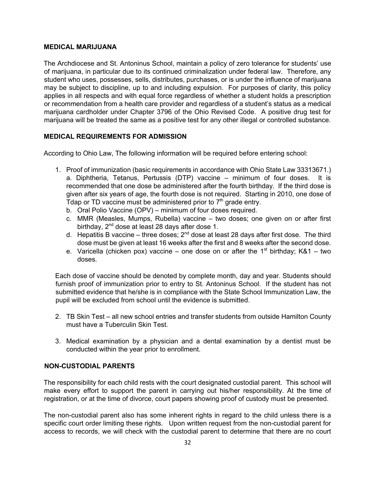#### **MEDICAL MARIJUANA**

The Archdiocese and St. Antoninus School, maintain a policy of zero tolerance for students' use of marijuana, in particular due to its continued criminalization under federal law. Therefore, any student who uses, possesses, sells, distributes, purchases, or is under the influence of marijuana may be subject to discipline, up to and including expulsion. For purposes of clarity, this policy applies in all respects and with equal force regardless of whether a student holds a prescription or recommendation from a health care provider and regardless of a student's status as a medical marijuana cardholder under Chapter 3796 of the Ohio Revised Code. A positive drug test for marijuana will be treated the same as a positive test for any other illegal or controlled substance.

# **MEDICAL REQUIREMENTS FOR ADMISSION**

According to Ohio Law, The following information will be required before entering school:

- 1. Proof of immunization (basic requirements in accordance with Ohio State Law 33313671.) a. Diphtheria, Tetanus, Pertussis (DTP) vaccine – minimum of four doses. It is recommended that one dose be administered after the fourth birthday. If the third dose is given after six years of age, the fourth dose is not required. Starting in 2010, one dose of Tdap or TD vaccine must be administered prior to  $7<sup>th</sup>$  grade entry.
	- b. Oral Polio Vaccine (OPV) minimum of four doses required.
	- c. MMR (Measles, Mumps, Rubella) vaccine two doses; one given on or after first birthday, 2<sup>nd</sup> dose at least 28 days after dose 1.
	- d. Hepatitis B vaccine three doses;  $2^{nd}$  dose at least 28 days after first dose. The third dose must be given at least 16 weeks after the first and 8 weeks after the second dose.
	- e. Varicella (chicken pox) vaccine one dose on or after the 1<sup>st</sup> birthday; K&1 two doses.

Each dose of vaccine should be denoted by complete month, day and year. Students should furnish proof of immunization prior to entry to St. Antoninus School. If the student has not submitted evidence that he/she is in compliance with the State School Immunization Law, the pupil will be excluded from school until the evidence is submitted.

- 2. TB Skin Test all new school entries and transfer students from outside Hamilton County must have a Tuberculin Skin Test.
- 3. Medical examination by a physician and a dental examination by a dentist must be conducted within the year prior to enrollment.

# **NON-CUSTODIAL PARENTS**

The responsibility for each child rests with the court designated custodial parent. This school will make every effort to support the parent in carrying out his/her responsibility. At the time of registration, or at the time of divorce, court papers showing proof of custody must be presented.

The non-custodial parent also has some inherent rights in regard to the child unless there is a specific court order limiting these rights. Upon written request from the non-custodial parent for access to records, we will check with the custodial parent to determine that there are no court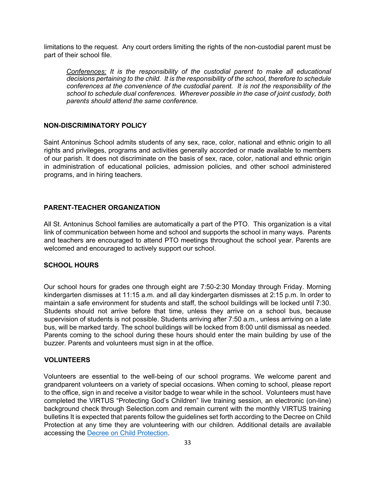limitations to the request. Any court orders limiting the rights of the non-custodial parent must be part of their school file.

*Conferences: It is the responsibility of the custodial parent to make all educational decisions pertaining to the child. It is the responsibility of the school, therefore to schedule conferences at the convenience of the custodial parent. It is not the responsibility of the school to schedule dual conferences. Wherever possible in the case of joint custody, both parents should attend the same conference.*

#### **NON-DISCRIMINATORY POLICY**

Saint Antoninus School admits students of any sex, race, color, national and ethnic origin to all rights and privileges, programs and activities generally accorded or made available to members of our parish. It does not discriminate on the basis of sex, race, color, national and ethnic origin in administration of educational policies, admission policies, and other school administered programs, and in hiring teachers.

# **PARENT-TEACHER ORGANIZATION**

All St. Antoninus School families are automatically a part of the PTO. This organization is a vital link of communication between home and school and supports the school in many ways. Parents and teachers are encouraged to attend PTO meetings throughout the school year. Parents are welcomed and encouraged to actively support our school.

# **SCHOOL HOURS**

Our school hours for grades one through eight are 7:50-2:30 Monday through Friday. Morning kindergarten dismisses at 11:15 a.m. and all day kindergarten dismisses at 2:15 p.m. In order to maintain a safe environment for students and staff, the school buildings will be locked until 7:30. Students should not arrive before that time, unless they arrive on a school bus, because supervision of students is not possible. Students arriving after 7:50 a.m., unless arriving on a late bus, will be marked tardy. The school buildings will be locked from 8:00 until dismissal as needed. Parents coming to the school during these hours should enter the main building by use of the buzzer. Parents and volunteers must sign in at the office.

# **VOLUNTEERS**

Volunteers are essential to the well-being of our school programs. We welcome parent and grandparent volunteers on a variety of special occasions. When coming to school, please report to the office, sign in and receive a visitor badge to wear while in the school. Volunteers must have completed the VIRTUS "Protecting God's Children" live training session, an electronic (on-line) background check through Selection.com and remain current with the monthly VIRTUS training bulletins It is expected that parents follow the guidelines set forth according to the Decree on Child Protection at any time they are volunteering with our children. Additional details are available accessing the Decree on Child Protection.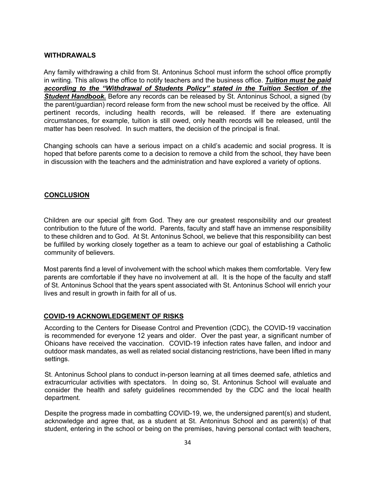#### **WITHDRAWALS**

Any family withdrawing a child from St. Antoninus School must inform the school office promptly in writing. This allows the office to notify teachers and the business office. *Tuition must be paid according to the "Withdrawal of Students Policy" stated in the Tuition Section of the*  **Student Handbook.** Before any records can be released by St. Antoninus School, a signed (by the parent/guardian) record release form from the new school must be received by the office. All pertinent records, including health records, will be released. If there are extenuating circumstances, for example, tuition is still owed, only health records will be released, until the matter has been resolved. In such matters, the decision of the principal is final.

Changing schools can have a serious impact on a child's academic and social progress. It is hoped that before parents come to a decision to remove a child from the school, they have been in discussion with the teachers and the administration and have explored a variety of options.

### **CONCLUSION**

Children are our special gift from God. They are our greatest responsibility and our greatest contribution to the future of the world. Parents, faculty and staff have an immense responsibility to these children and to God. At St. Antoninus School, we believe that this responsibility can best be fulfilled by working closely together as a team to achieve our goal of establishing a Catholic community of believers.

Most parents find a level of involvement with the school which makes them comfortable. Very few parents are comfortable if they have no involvement at all. It is the hope of the faculty and staff of St. Antoninus School that the years spent associated with St. Antoninus School will enrich your lives and result in growth in faith for all of us.

#### **COVID-19 ACKNOWLEDGEMENT OF RISKS**

According to the Centers for Disease Control and Prevention (CDC), the COVID-19 vaccination is recommended for everyone 12 years and older. Over the past year, a significant number of Ohioans have received the vaccination. COVID-19 infection rates have fallen, and indoor and outdoor mask mandates, as well as related social distancing restrictions, have been lifted in many settings.

St. Antoninus School plans to conduct in-person learning at all times deemed safe, athletics and extracurricular activities with spectators. In doing so, St. Antoninus School will evaluate and consider the health and safety guidelines recommended by the CDC and the local health department.

Despite the progress made in combatting COVID-19, we, the undersigned parent(s) and student, acknowledge and agree that, as a student at St. Antoninus School and as parent(s) of that student, entering in the school or being on the premises, having personal contact with teachers,